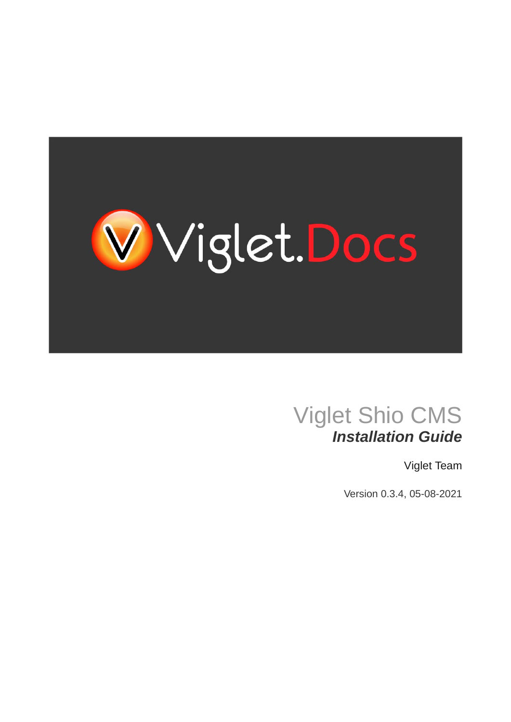

## Viglet Shio CMS **Installation Guide**

Viglet Team

Version 0.3.4, 05-08-2021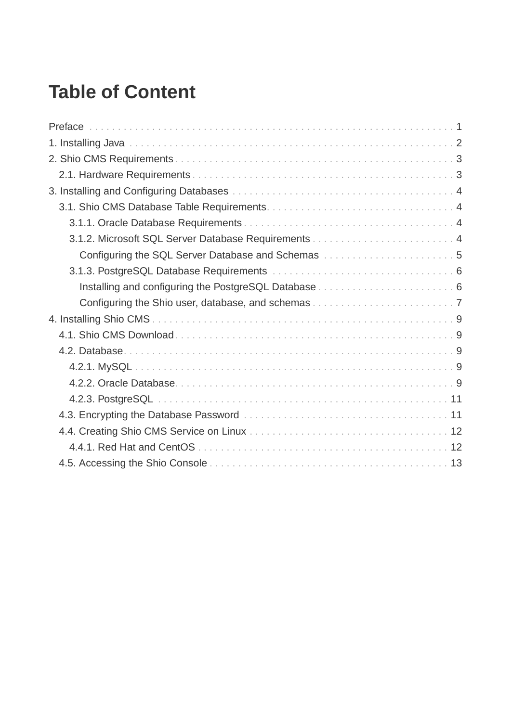# **Table of Content**

| Configuring the SQL Server Database and Schemas  5 |
|----------------------------------------------------|
|                                                    |
|                                                    |
|                                                    |
|                                                    |
|                                                    |
|                                                    |
|                                                    |
|                                                    |
|                                                    |
|                                                    |
|                                                    |
|                                                    |
|                                                    |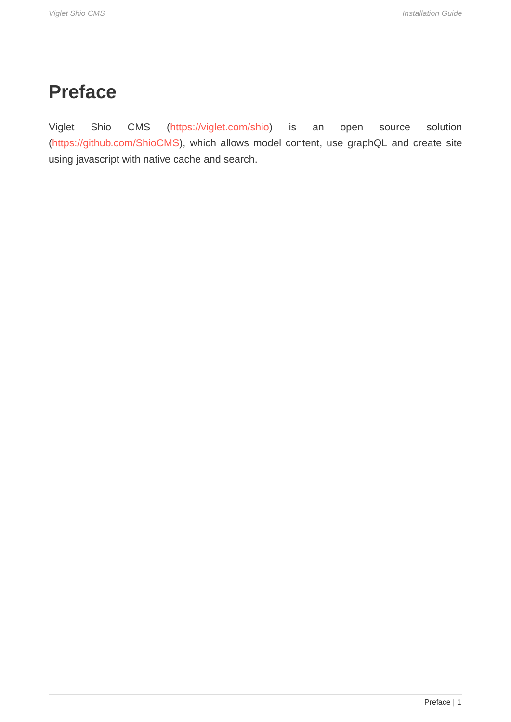# <span id="page-2-0"></span>**Preface**

Viglet Shio CMS [\(https://viglet.com/shio\)](https://viglet.com/shio) is an open source solution ([https://github.com/ShioCMS\)](https://github.com/ShioCMS), which allows model content, use graphQL and create site using javascript with native cache and search.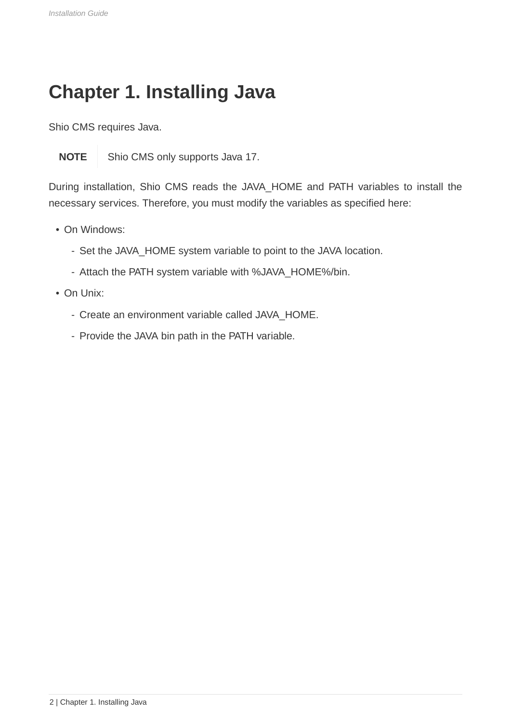# <span id="page-3-0"></span>**Chapter 1. Installing Java**

Shio CMS requires Java.

**NOTE** Shio CMS only supports Java 17.

During installation, Shio CMS reads the JAVA\_HOME and PATH variables to install the necessary services. Therefore, you must modify the variables as specified here:

- On Windows:
	- Set the JAVA\_HOME system variable to point to the JAVA location.
	- Attach the PATH system variable with %JAVA\_HOME%/bin.
- On Unix:
	- Create an environment variable called JAVA\_HOME.
	- Provide the JAVA bin path in the PATH variable.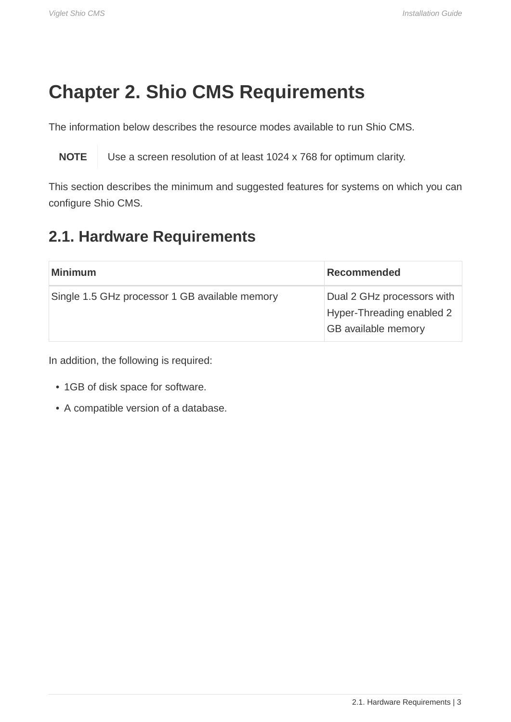# <span id="page-4-0"></span>**Chapter 2. Shio CMS Requirements**

The information below describes the resource modes available to run Shio CMS.

**NOTE** Use a screen resolution of at least 1024 x 768 for optimum clarity.

This section describes the minimum and suggested features for systems on which you can configure Shio CMS.

## <span id="page-4-1"></span>**2.1. Hardware Requirements**

| <b>Minimum</b>                                 | <b>Recommended</b>                                                             |
|------------------------------------------------|--------------------------------------------------------------------------------|
| Single 1.5 GHz processor 1 GB available memory | Dual 2 GHz processors with<br>Hyper-Threading enabled 2<br>GB available memory |

In addition, the following is required:

- 1GB of disk space for software.
- A compatible version of a database.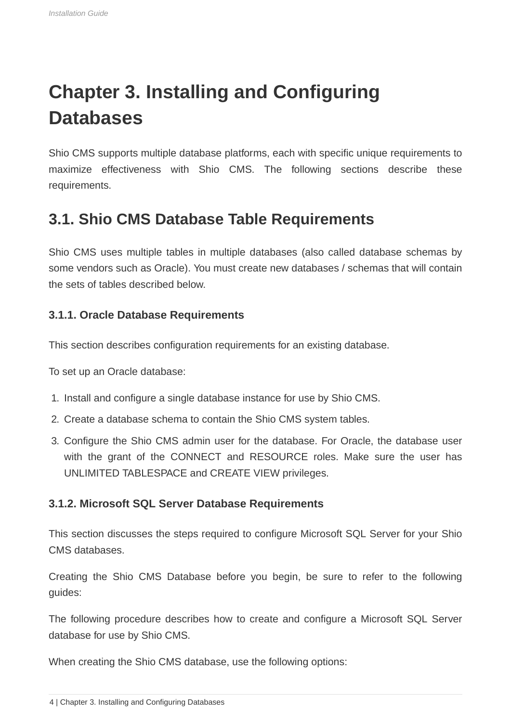# <span id="page-5-0"></span>**Chapter 3. Installing and Configuring Databases**

Shio CMS supports multiple database platforms, each with specific unique requirements to maximize effectiveness with Shio CMS. The following sections describe these requirements.

## <span id="page-5-1"></span>**3.1. Shio CMS Database Table Requirements**

Shio CMS uses multiple tables in multiple databases (also called database schemas by some vendors such as Oracle). You must create new databases / schemas that will contain the sets of tables described below.

### <span id="page-5-2"></span>**3.1.1. Oracle Database Requirements**

This section describes configuration requirements for an existing database.

To set up an Oracle database:

- 1. Install and configure a single database instance for use by Shio CMS.
- 2. Create a database schema to contain the Shio CMS system tables.
- 3. Configure the Shio CMS admin user for the database. For Oracle, the database user with the grant of the CONNECT and RESOURCE roles. Make sure the user has UNLIMITED TABLESPACE and CREATE VIEW privileges.

### <span id="page-5-3"></span>**3.1.2. Microsoft SQL Server Database Requirements**

This section discusses the steps required to configure Microsoft SQL Server for your Shio CMS databases.

Creating the Shio CMS Database before you begin, be sure to refer to the following guides:

The following procedure describes how to create and configure a Microsoft SQL Server database for use by Shio CMS.

When creating the Shio CMS database, use the following options:

<sup>4 |</sup> Chapter 3. Installing and Configuring Databases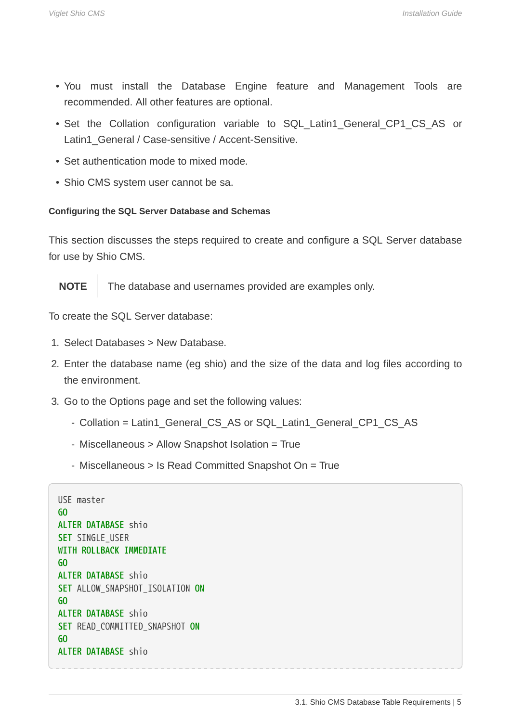- You must install the Database Engine feature and Management Tools are recommended. All other features are optional.
- Set the Collation configuration variable to SQL\_Latin1\_General\_CP1\_CS\_AS or Latin1 General / Case-sensitive / Accent-Sensitive.
- Set authentication mode to mixed mode.
- Shio CMS system user cannot be sa.

#### <span id="page-6-0"></span>**Configuring the SQL Server Database and Schemas**

This section discusses the steps required to create and configure a SQL Server database for use by Shio CMS.

**NOTE** The database and usernames provided are examples only.

To create the SQL Server database:

- 1. Select Databases > New Database.
- 2. Enter the database name (eg shio) and the size of the data and log files according to the environment.
- 3. Go to the Options page and set the following values:
	- Collation = Latin1\_General\_CS\_AS or SQL\_Latin1\_General\_CP1\_CS\_AS
	- Miscellaneous > Allow Snapshot Isolation = True
	- Miscellaneous > Is Read Committed Snapshot On = True

```
USE master
GO
ALTER DATABASE shio
SET SINGLE_USER
WITH ROLLBACK IMMEDIATE
GO
ALTER DATABASE shio
SET ALLOW_SNAPSHOT_ISOLATION ON
GO
ALTER DATABASE shio
SET READ_COMMITTED_SNAPSHOT ON
GO
ALTER DATABASE shio
```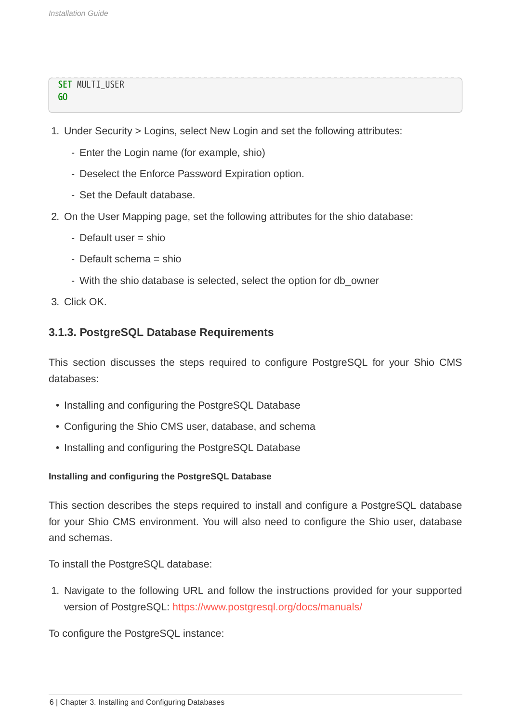#### **SET** MULTI\_USER **GO**

1. Under Security > Logins, select New Login and set the following attributes:

- Enter the Login name (for example, shio)
- Deselect the Enforce Password Expiration option.
- Set the Default database.
- 2. On the User Mapping page, set the following attributes for the shio database:
	- Default user = shio
	- Default schema = shio
	- With the shio database is selected, select the option for db\_owner
- 3. Click OK.

### <span id="page-7-0"></span>**3.1.3. PostgreSQL Database Requirements**

This section discusses the steps required to configure PostgreSQL for your Shio CMS databases:

- Installing and configuring the PostgreSQL Database
- Configuring the Shio CMS user, database, and schema
- Installing and configuring the PostgreSQL Database

#### <span id="page-7-1"></span>**Installing and configuring the PostgreSQL Database**

This section describes the steps required to install and configure a PostgreSQL database for your Shio CMS environment. You will also need to configure the Shio user, database and schemas.

To install the PostgreSQL database:

1. Navigate to the following URL and follow the instructions provided for your supported version of PostgreSQL:<https://www.postgresql.org/docs/manuals/>

To configure the PostgreSQL instance: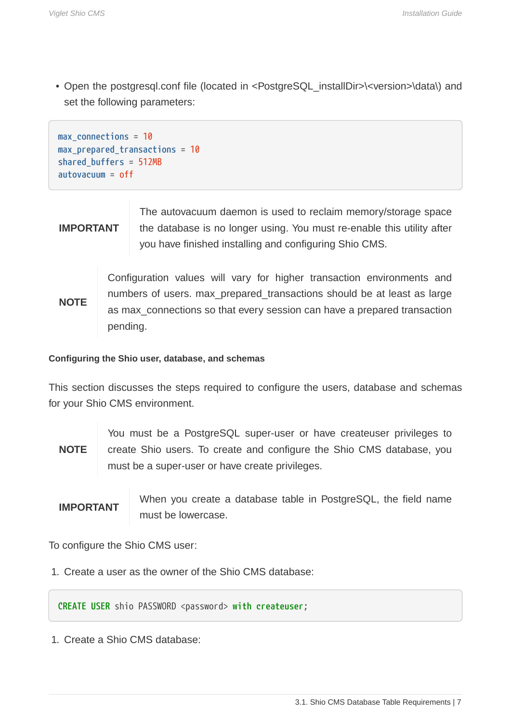• Open the postgresql.conf file (located in <PostgreSQL\_installDir>\<version>\data\) and set the following parameters:

```
max_connections = 10
max_prepared_transactions = 10
shared_buffers = 512MB
autovacuum = off
```
#### **IMPORTANT** The autovacuum daemon is used to reclaim memory/storage space the database is no longer using. You must re-enable this utility after you have finished installing and configuring Shio CMS.

**NOTE** Configuration values will vary for higher transaction environments and numbers of users. max\_prepared\_transactions should be at least as large as max\_connections so that every session can have a prepared transaction pending.

#### <span id="page-8-0"></span>**Configuring the Shio user, database, and schemas**

This section discusses the steps required to configure the users, database and schemas for your Shio CMS environment.

**NOTE**

You must be a PostgreSQL super-user or have createuser privileges to create Shio users. To create and configure the Shio CMS database, you must be a super-user or have create privileges.

#### **IMPORTANT** When you create a database table in PostgreSQL, the field name must be lowercase.

To configure the Shio CMS user:

1. Create a user as the owner of the Shio CMS database:

**CREATE USER** shio PASSWORD <password> **with createuser**;

1. Create a Shio CMS database: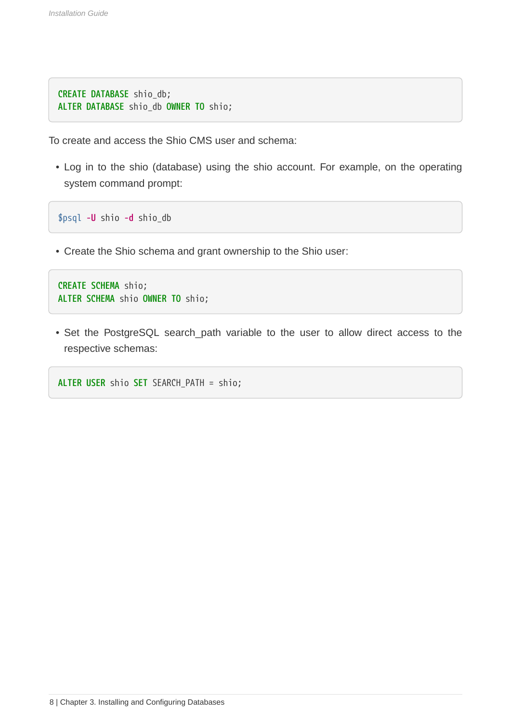```
CREATE DATABASE shio_db;
ALTER DATABASE shio_db OWNER TO shio;
```
To create and access the Shio CMS user and schema:

• Log in to the shio (database) using the shio account. For example, on the operating system command prompt:

\$psql **-U** shio **-d** shio\_db

• Create the Shio schema and grant ownership to the Shio user:

```
CREATE SCHEMA shio;
ALTER SCHEMA shio OWNER TO shio;
```
• Set the PostgreSQL search\_path variable to the user to allow direct access to the respective schemas:

**ALTER USER** shio **SET** SEARCH\_PATH = shio;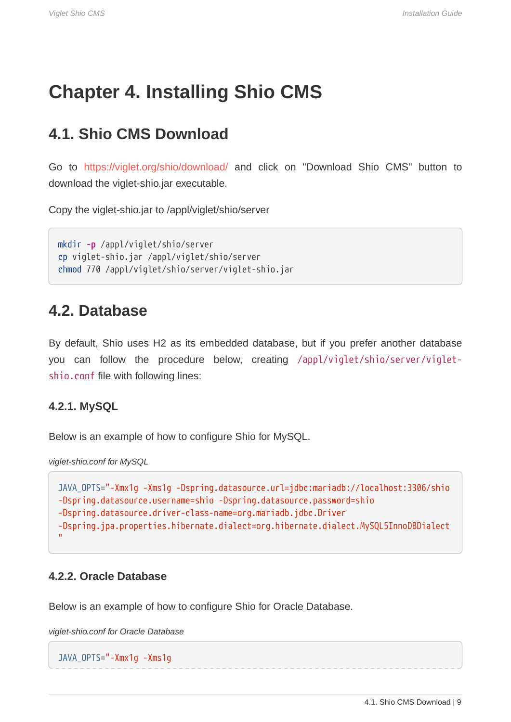# <span id="page-10-0"></span>**Chapter 4. Installing Shio CMS**

## <span id="page-10-1"></span>**4.1. Shio CMS Download**

Go to <https://viglet.org/shio/download/>and click on "Download Shio CMS" button to download the viglet-shio.jar executable.

Copy the viglet-shio.jar to /appl/viglet/shio/server

```
mkdir -p /appl/viglet/shio/server
cp viglet-shio.jar /appl/viglet/shio/server
chmod 770 /appl/viglet/shio/server/viglet-shio.jar
```
### <span id="page-10-2"></span>**4.2. Database**

By default, Shio uses H2 as its embedded database, but if you prefer another database you can follow the procedure below, creating /appl/viglet/shio/server/vigletshio.conf file with following lines:

#### <span id="page-10-3"></span>**4.2.1. MySQL**

Below is an example of how to configure Shio for MySQL.

```
viglet-shio.conf for MySQL
```

```
JAVA_OPTS="-Xmx1g -Xms1g -Dspring.datasource.url=jdbc:mariadb://localhost:3306/shio
-Dspring.datasource.username=shio -Dspring.datasource.password=shio
-Dspring.datasource.driver-class-name=org.mariadb.jdbc.Driver
-Dspring.jpa.properties.hibernate.dialect=org.hibernate.dialect.MySQL5InnoDBDialect
"
```
#### <span id="page-10-4"></span>**4.2.2. Oracle Database**

Below is an example of how to configure Shio for Oracle Database.

viglet-shio.conf for Oracle Database

```
JAVA_OPTS="-Xmx1g -Xms1g
```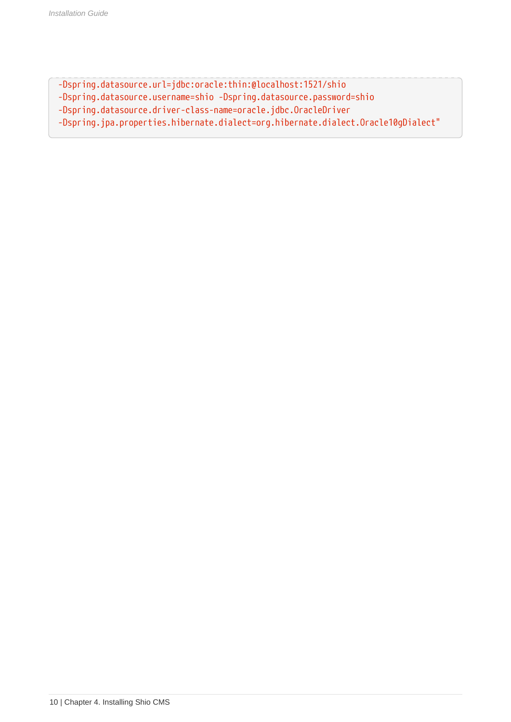```
-Dspring.datasource.url=jdbc:oracle:thin:@localhost:1521/shio
```
- -Dspring.datasource.username=shio -Dspring.datasource.password=shio
- -Dspring.datasource.driver-class-name=oracle.jdbc.OracleDriver
- -Dspring.jpa.properties.hibernate.dialect=org.hibernate.dialect.Oracle10gDialect"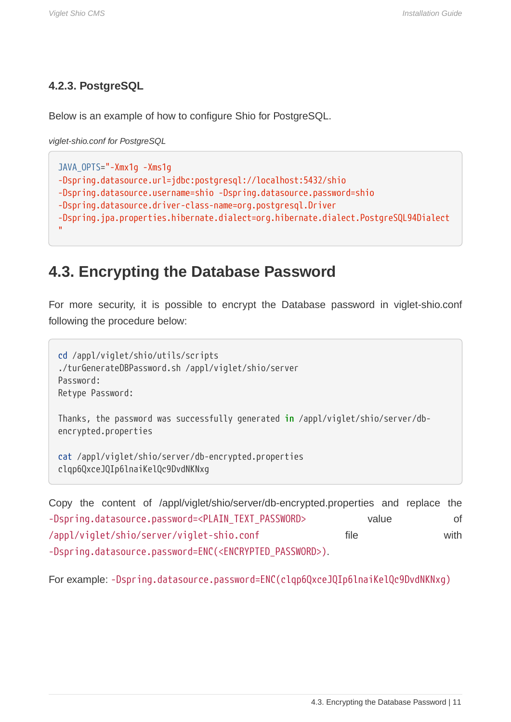### <span id="page-12-0"></span>**4.2.3. PostgreSQL**

Below is an example of how to configure Shio for PostgreSQL.

viglet-shio.conf for PostgreSQL

```
JAVA_OPTS="-Xmx1g -Xms1g
-Dspring.datasource.url=jdbc:postgresql://localhost:5432/shio
-Dspring.datasource.username=shio -Dspring.datasource.password=shio
-Dspring.datasource.driver-class-name=org.postgresql.Driver
-Dspring.jpa.properties.hibernate.dialect=org.hibernate.dialect.PostgreSQL94Dialect
"
```
## <span id="page-12-1"></span>**4.3. Encrypting the Database Password**

For more security, it is possible to encrypt the Database password in viglet-shio.conf following the procedure below:

```
cd /appl/viglet/shio/utils/scripts
./turGenerateDBPassword.sh /appl/viglet/shio/server
Password:
Retype Password:
Thanks, the password was successfully generated in /appl/viglet/shio/server/db-
encrypted.properties
cat /appl/viglet/shio/server/db-encrypted.properties
clqp6QxceJQIp6lnaiKelQc9DvdNKNxg
```
Copy the content of /appl/viglet/shio/server/db-encrypted.properties and replace the -Dspring.datasource.password=<PLAIN\_TEXT\_PASSWORD> value of /appl/viglet/shio/server/viglet-shio.conf file file with -Dspring.datasource.password=ENC(<ENCRYPTED\_PASSWORD>).

For example: -Dspring.datasource.password=ENC(clqp6QxceJQIp6lnaiKelQc9DvdNKNxg)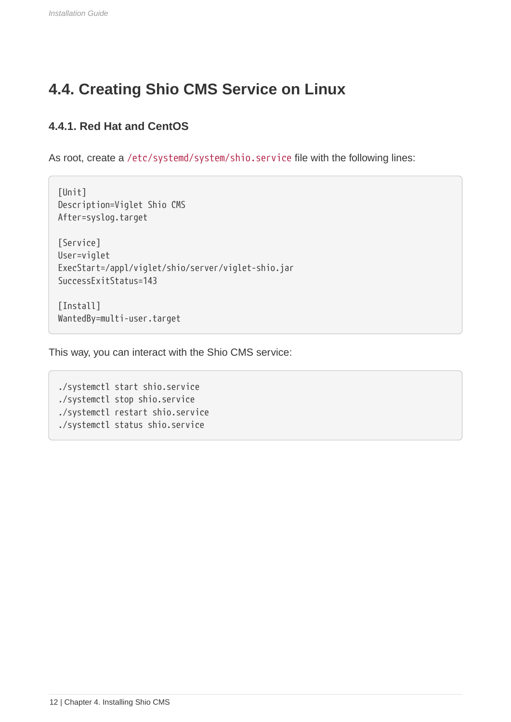# <span id="page-13-0"></span>**4.4. Creating Shio CMS Service on Linux**

### <span id="page-13-1"></span>**4.4.1. Red Hat and CentOS**

As root, create a /etc/systemd/system/shio.service file with the following lines:

```
[Unit]
Description=Viglet Shio CMS
After=syslog.target
[Service]
User=viglet
ExecStart=/appl/viglet/shio/server/viglet-shio.jar
SuccessExitStatus=143
[Install]
WantedBy=multi-user.target
```
This way, you can interact with the Shio CMS service:

./systemctl start shio.service ./systemctl stop shio.service ./systemctl restart shio.service ./systemctl status shio.service